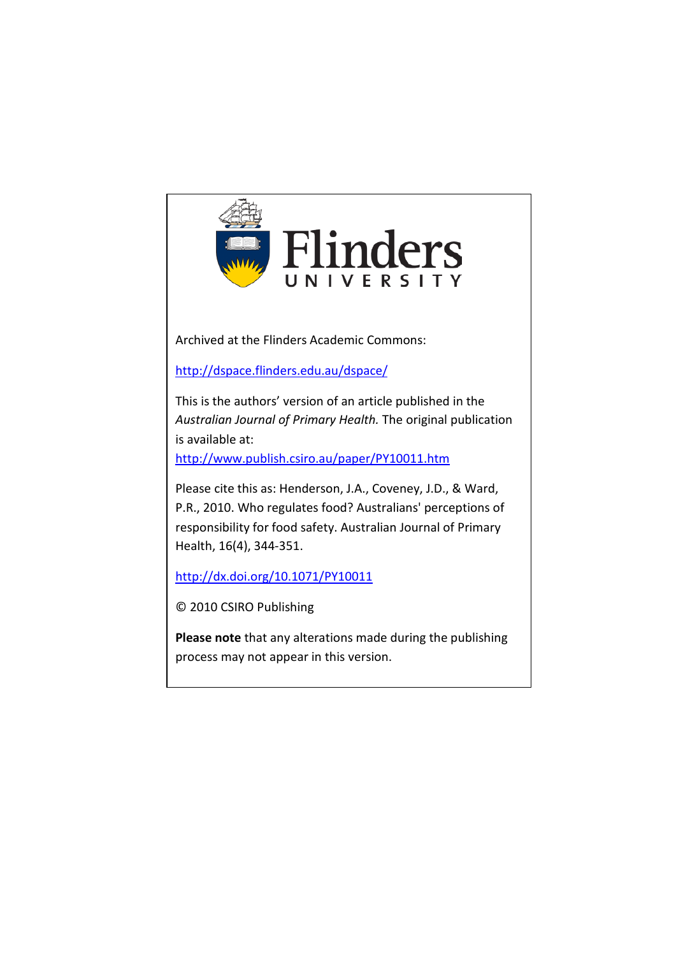

Archived at the Flinders Academic Commons:

<http://dspace.flinders.edu.au/dspace/>

This is the authors' version of an article published in the *Australian Journal of Primary Health.* The original publication is available at:

<http://www.publish.csiro.au/paper/PY10011.htm>

Please cite this as: Henderson, J.A., Coveney, J.D., & Ward, P.R., 2010. Who regulates food? Australians' perceptions of responsibility for food safety. Australian Journal of Primary Health, 16(4), 344-351.

<http://dx.doi.org/10.1071/PY10011>

© 2010 CSIRO Publishing

**Please note** that any alterations made during the publishing process may not appear in this version.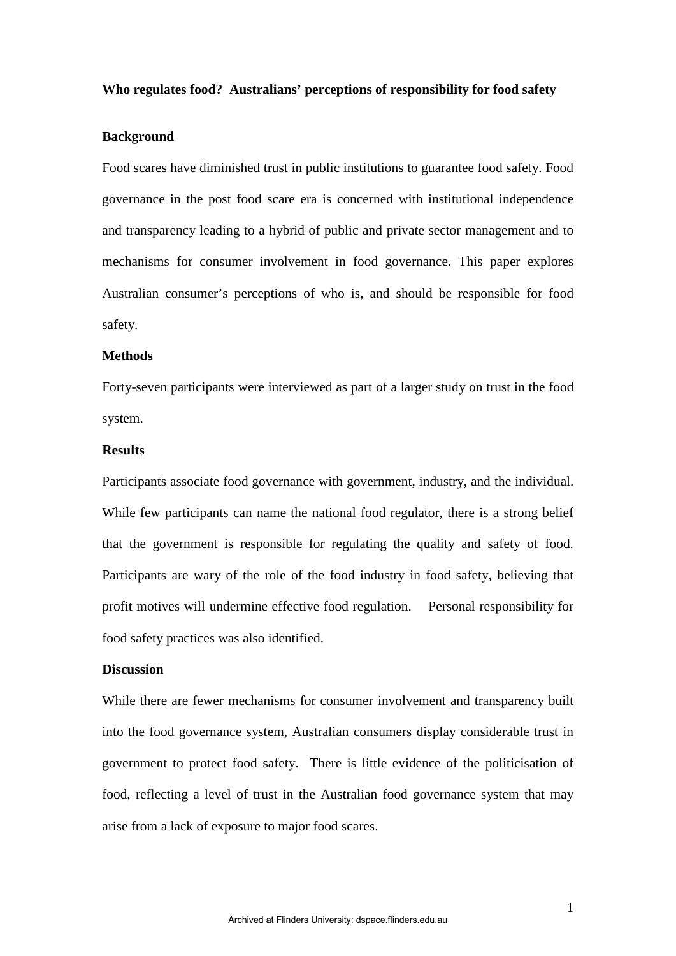#### **Who regulates food? Australians' perceptions of responsibility for food safety**

### **Background**

Food scares have diminished trust in public institutions to guarantee food safety. Food governance in the post food scare era is concerned with institutional independence and transparency leading to a hybrid of public and private sector management and to mechanisms for consumer involvement in food governance. This paper explores Australian consumer's perceptions of who is, and should be responsible for food safety.

## **Methods**

Forty-seven participants were interviewed as part of a larger study on trust in the food system.

## **Results**

Participants associate food governance with government, industry, and the individual. While few participants can name the national food regulator, there is a strong belief that the government is responsible for regulating the quality and safety of food. Participants are wary of the role of the food industry in food safety, believing that profit motives will undermine effective food regulation. Personal responsibility for food safety practices was also identified.

# **Discussion**

While there are fewer mechanisms for consumer involvement and transparency built into the food governance system, Australian consumers display considerable trust in government to protect food safety. There is little evidence of the politicisation of food, reflecting a level of trust in the Australian food governance system that may arise from a lack of exposure to major food scares.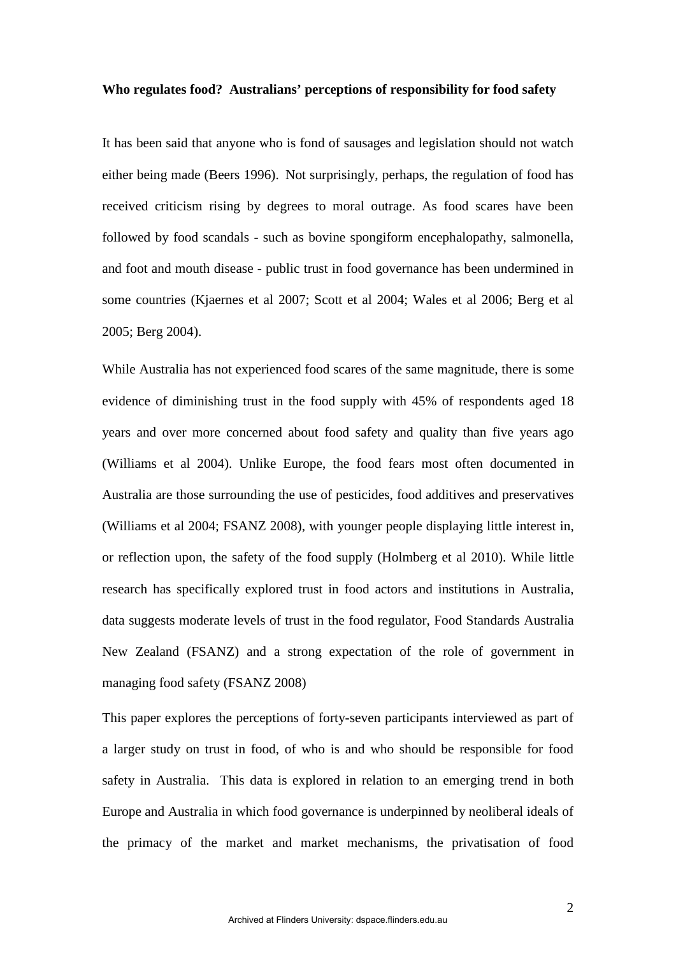#### **Who regulates food? Australians' perceptions of responsibility for food safety**

It has been said that anyone who is fond of sausages and legislation should not watch either being made (Beers 1996). Not surprisingly, perhaps, the regulation of food has received criticism rising by degrees to moral outrage. As food scares have been followed by food scandals - such as bovine spongiform encephalopathy, salmonella, and foot and mouth disease - public trust in food governance has been undermined in some countries (Kjaernes et al 2007; Scott et al 2004; Wales et al 2006; Berg et al 2005; Berg 2004).

While Australia has not experienced food scares of the same magnitude, there is some evidence of diminishing trust in the food supply with 45% of respondents aged 18 years and over more concerned about food safety and quality than five years ago (Williams et al 2004). Unlike Europe, the food fears most often documented in Australia are those surrounding the use of pesticides, food additives and preservatives (Williams et al 2004; FSANZ 2008), with younger people displaying little interest in, or reflection upon, the safety of the food supply (Holmberg et al 2010). While little research has specifically explored trust in food actors and institutions in Australia, data suggests moderate levels of trust in the food regulator, Food Standards Australia New Zealand (FSANZ) and a strong expectation of the role of government in managing food safety (FSANZ 2008)

This paper explores the perceptions of forty-seven participants interviewed as part of a larger study on trust in food, of who is and who should be responsible for food safety in Australia. This data is explored in relation to an emerging trend in both Europe and Australia in which food governance is underpinned by neoliberal ideals of the primacy of the market and market mechanisms, the privatisation of food

2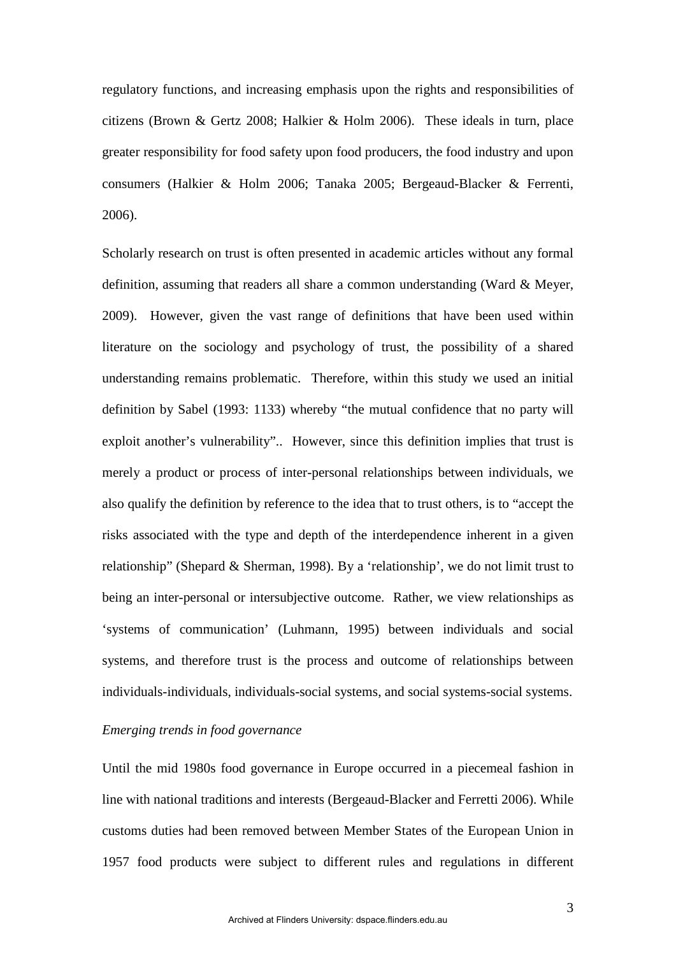regulatory functions, and increasing emphasis upon the rights and responsibilities of citizens (Brown & Gertz 2008; Halkier & Holm 2006). These ideals in turn, place greater responsibility for food safety upon food producers, the food industry and upon consumers (Halkier & Holm 2006; Tanaka 2005; Bergeaud-Blacker & Ferrenti, 2006).

Scholarly research on trust is often presented in academic articles without any formal definition, assuming that readers all share a common understanding (Ward & Meyer, 2009). However, given the vast range of definitions that have been used within literature on the sociology and psychology of trust, the possibility of a shared understanding remains problematic. Therefore, within this study we used an initial definition by Sabel (1993: 1133) whereby "the mutual confidence that no party will exploit another's vulnerability".. However, since this definition implies that trust is merely a product or process of inter-personal relationships between individuals, we also qualify the definition by reference to the idea that to trust others, is to "accept the risks associated with the type and depth of the interdependence inherent in a given relationship" (Shepard & Sherman, 1998). By a 'relationship', we do not limit trust to being an inter-personal or intersubjective outcome. Rather, we view relationships as 'systems of communication' (Luhmann, 1995) between individuals and social systems, and therefore trust is the process and outcome of relationships between individuals-individuals, individuals-social systems, and social systems-social systems.

## *Emerging trends in food governance*

Until the mid 1980s food governance in Europe occurred in a piecemeal fashion in line with national traditions and interests (Bergeaud-Blacker and Ferretti 2006). While customs duties had been removed between Member States of the European Union in 1957 food products were subject to different rules and regulations in different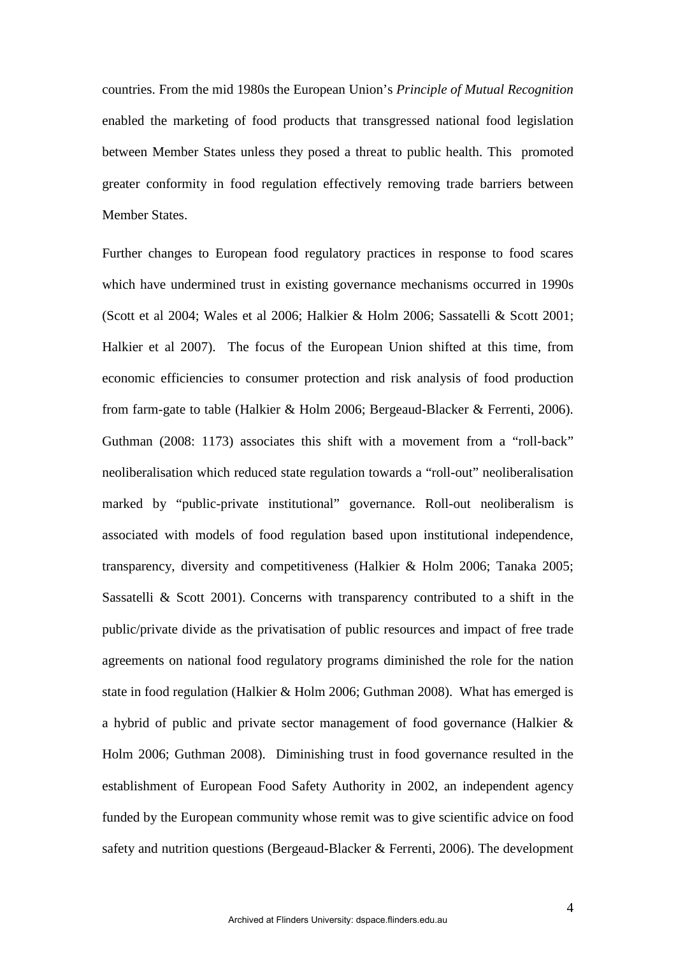countries. From the mid 1980s the European Union's *Principle of Mutual Recognition* enabled the marketing of food products that transgressed national food legislation between Member States unless they posed a threat to public health. This promoted greater conformity in food regulation effectively removing trade barriers between Member States.

Further changes to European food regulatory practices in response to food scares which have undermined trust in existing governance mechanisms occurred in 1990s (Scott et al 2004; Wales et al 2006; Halkier & Holm 2006; Sassatelli & Scott 2001; Halkier et al 2007). The focus of the European Union shifted at this time, from economic efficiencies to consumer protection and risk analysis of food production from farm-gate to table (Halkier & Holm 2006; Bergeaud-Blacker & Ferrenti, 2006). Guthman (2008: 1173) associates this shift with a movement from a "roll-back" neoliberalisation which reduced state regulation towards a "roll-out" neoliberalisation marked by "public-private institutional" governance. Roll-out neoliberalism is associated with models of food regulation based upon institutional independence, transparency, diversity and competitiveness (Halkier & Holm 2006; Tanaka 2005; Sassatelli & Scott 2001). Concerns with transparency contributed to a shift in the public/private divide as the privatisation of public resources and impact of free trade agreements on national food regulatory programs diminished the role for the nation state in food regulation (Halkier & Holm 2006; Guthman 2008). What has emerged is a hybrid of public and private sector management of food governance (Halkier & Holm 2006; Guthman 2008). Diminishing trust in food governance resulted in the establishment of European Food Safety Authority in 2002, an independent agency funded by the European community whose remit was to give scientific advice on food safety and nutrition questions (Bergeaud-Blacker & Ferrenti, 2006). The development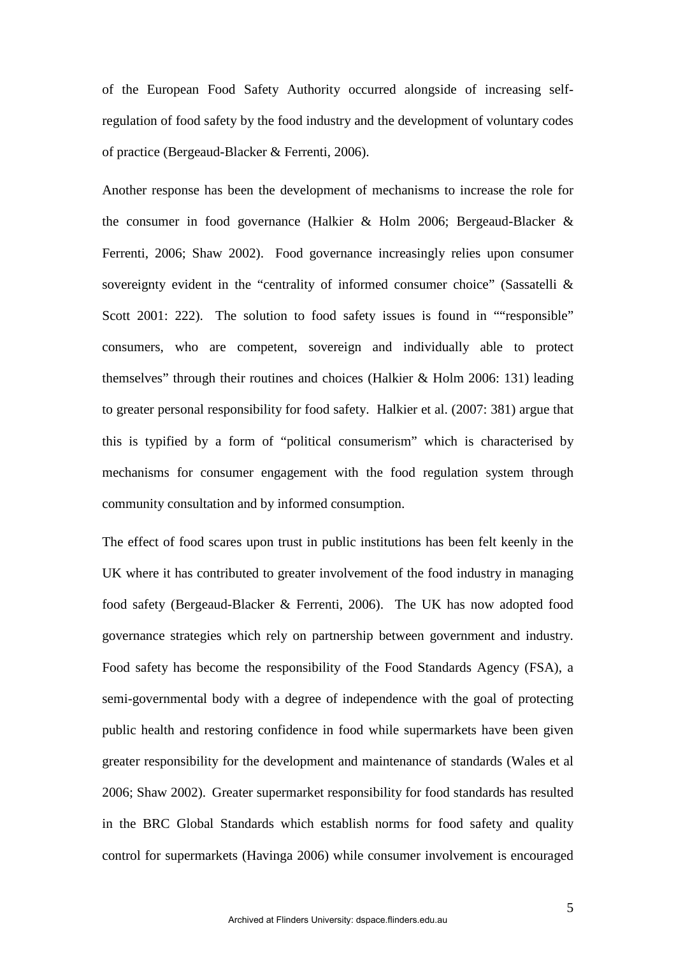of the European Food Safety Authority occurred alongside of increasing selfregulation of food safety by the food industry and the development of voluntary codes of practice (Bergeaud-Blacker & Ferrenti, 2006).

Another response has been the development of mechanisms to increase the role for the consumer in food governance (Halkier & Holm 2006; Bergeaud-Blacker & Ferrenti, 2006; Shaw 2002). Food governance increasingly relies upon consumer sovereignty evident in the "centrality of informed consumer choice" (Sassatelli & Scott 2001: 222). The solution to food safety issues is found in ""responsible" consumers, who are competent, sovereign and individually able to protect themselves" through their routines and choices (Halkier & Holm 2006: 131) leading to greater personal responsibility for food safety. Halkier et al. (2007: 381) argue that this is typified by a form of "political consumerism" which is characterised by mechanisms for consumer engagement with the food regulation system through community consultation and by informed consumption.

The effect of food scares upon trust in public institutions has been felt keenly in the UK where it has contributed to greater involvement of the food industry in managing food safety (Bergeaud-Blacker & Ferrenti, 2006). The UK has now adopted food governance strategies which rely on partnership between government and industry. Food safety has become the responsibility of the Food Standards Agency (FSA), a semi-governmental body with a degree of independence with the goal of protecting public health and restoring confidence in food while supermarkets have been given greater responsibility for the development and maintenance of standards (Wales et al 2006; Shaw 2002). Greater supermarket responsibility for food standards has resulted in the BRC Global Standards which establish norms for food safety and quality control for supermarkets (Havinga 2006) while consumer involvement is encouraged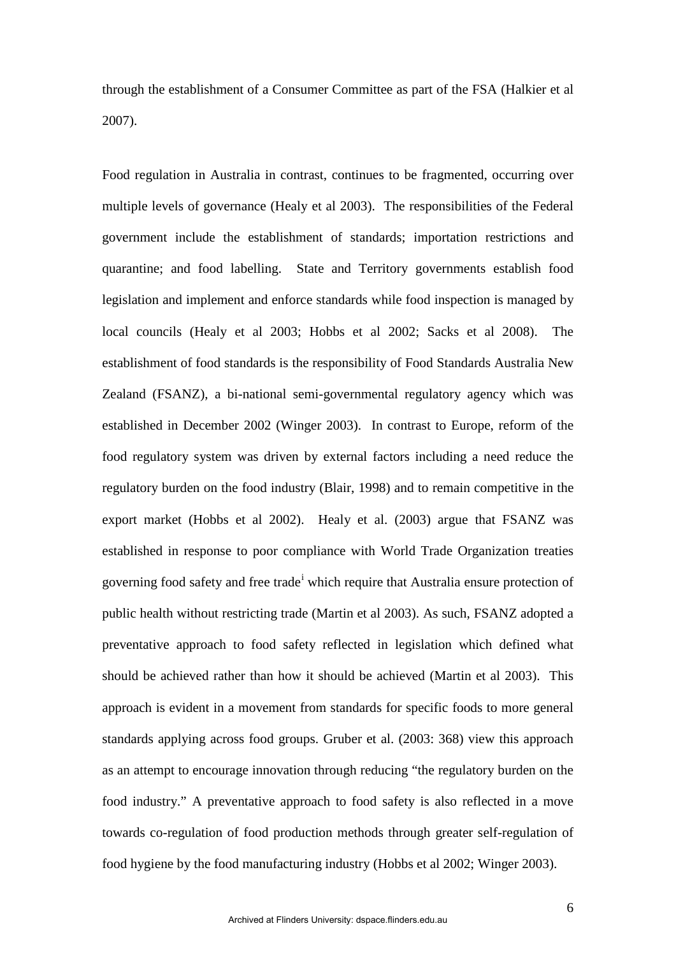through the establishment of a Consumer Committee as part of the FSA (Halkier et al 2007).

Food regulation in Australia in contrast, continues to be fragmented, occurring over multiple levels of governance (Healy et al 2003). The responsibilities of the Federal government include the establishment of standards; importation restrictions and quarantine; and food labelling. State and Territory governments establish food legislation and implement and enforce standards while food inspection is managed by local councils (Healy et al 2003; Hobbs et al 2002; Sacks et al 2008). The establishment of food standards is the responsibility of Food Standards Australia New Zealand (FSANZ), a bi-national semi-governmental regulatory agency which was established in December 2002 (Winger 2003). In contrast to Europe, reform of the food regulatory system was driven by external factors including a need reduce the regulatory burden on the food industry (Blair, 1998) and to remain competitive in the export market (Hobbs et al 2002). Healy et al. (2003) argue that FSANZ was established in response to poor compliance with World Trade Organization treaties govern[i](#page-22-0)ng food safety and free trade<sup>i</sup> which require that Australia ensure protection of public health without restricting trade (Martin et al 2003). As such, FSANZ adopted a preventative approach to food safety reflected in legislation which defined what should be achieved rather than how it should be achieved (Martin et al 2003). This approach is evident in a movement from standards for specific foods to more general standards applying across food groups. Gruber et al. (2003: 368) view this approach as an attempt to encourage innovation through reducing "the regulatory burden on the food industry." A preventative approach to food safety is also reflected in a move towards co-regulation of food production methods through greater self-regulation of food hygiene by the food manufacturing industry (Hobbs et al 2002; Winger 2003).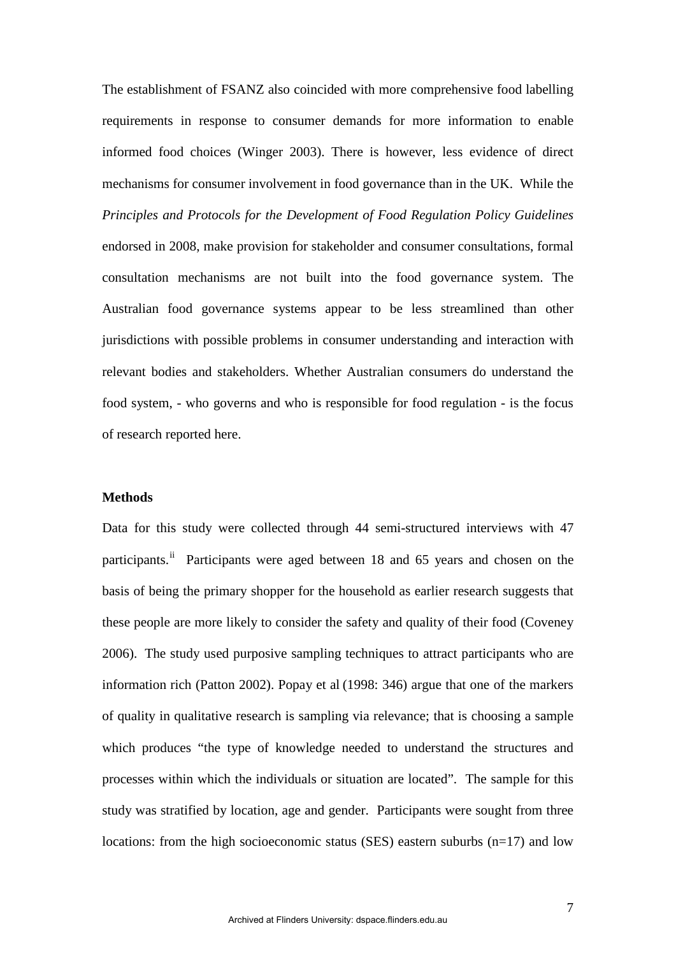The establishment of FSANZ also coincided with more comprehensive food labelling requirements in response to consumer demands for more information to enable informed food choices (Winger 2003). There is however, less evidence of direct mechanisms for consumer involvement in food governance than in the UK. While the *Principles and Protocols for the Development of Food Regulation Policy Guidelines* endorsed in 2008, make provision for stakeholder and consumer consultations, formal consultation mechanisms are not built into the food governance system. The Australian food governance systems appear to be less streamlined than other jurisdictions with possible problems in consumer understanding and interaction with relevant bodies and stakeholders. Whether Australian consumers do understand the food system, - who governs and who is responsible for food regulation - is the focus of research reported here.

#### **Methods**

Data for this study were collected through 44 semi-structured interviews with 47 participants.<sup>[ii](#page-22-1)</sup> Participants were aged between 18 and 65 years and chosen on the basis of being the primary shopper for the household as earlier research suggests that these people are more likely to consider the safety and quality of their food (Coveney 2006). The study used purposive sampling techniques to attract participants who are information rich (Patton 2002). Popay et al (1998: 346) argue that one of the markers of quality in qualitative research is sampling via relevance; that is choosing a sample which produces "the type of knowledge needed to understand the structures and processes within which the individuals or situation are located". The sample for this study was stratified by location, age and gender. Participants were sought from three locations: from the high socioeconomic status (SES) eastern suburbs  $(n=17)$  and low

7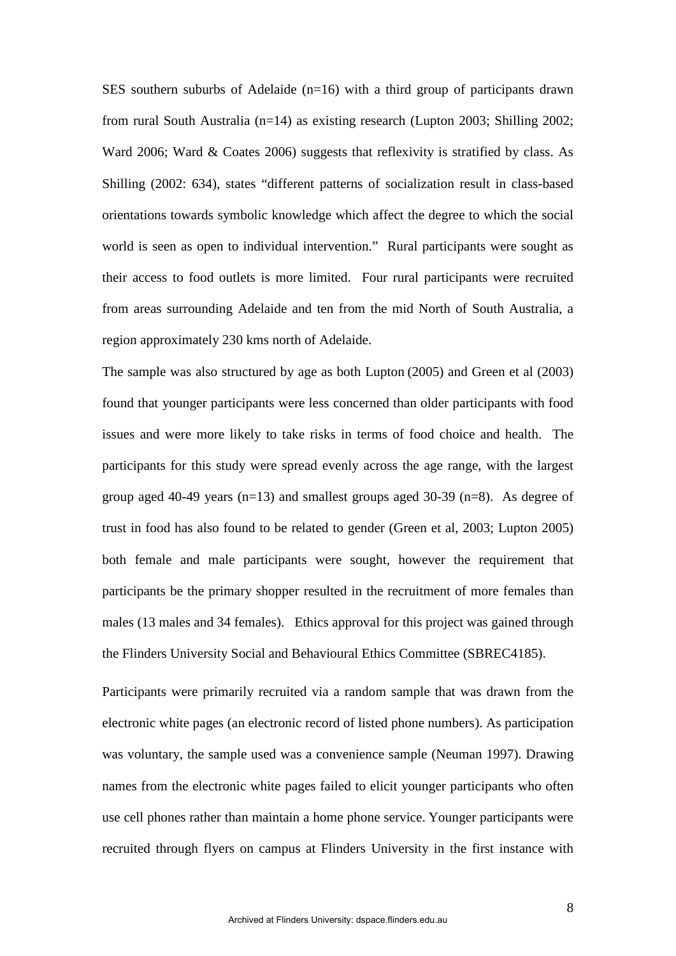SES southern suburbs of Adelaide (n=16) with a third group of participants drawn from rural South Australia (n=14) as existing research (Lupton 2003; Shilling 2002; Ward 2006; Ward & Coates 2006) suggests that reflexivity is stratified by class. As Shilling (2002: 634), states "different patterns of socialization result in class-based orientations towards symbolic knowledge which affect the degree to which the social world is seen as open to individual intervention." Rural participants were sought as their access to food outlets is more limited. Four rural participants were recruited from areas surrounding Adelaide and ten from the mid North of South Australia, a region approximately 230 kms north of Adelaide.

The sample was also structured by age as both Lupton (2005) and Green et al (2003) found that younger participants were less concerned than older participants with food issues and were more likely to take risks in terms of food choice and health. The participants for this study were spread evenly across the age range, with the largest group aged 40-49 years  $(n=13)$  and smallest groups aged 30-39  $(n=8)$ . As degree of trust in food has also found to be related to gender (Green et al, 2003; Lupton 2005) both female and male participants were sought, however the requirement that participants be the primary shopper resulted in the recruitment of more females than males (13 males and 34 females). Ethics approval for this project was gained through the Flinders University Social and Behavioural Ethics Committee (SBREC4185).

Participants were primarily recruited via a random sample that was drawn from the electronic white pages (an electronic record of listed phone numbers). As participation was voluntary, the sample used was a convenience sample (Neuman 1997). Drawing names from the electronic white pages failed to elicit younger participants who often use cell phones rather than maintain a home phone service. Younger participants were recruited through flyers on campus at Flinders University in the first instance with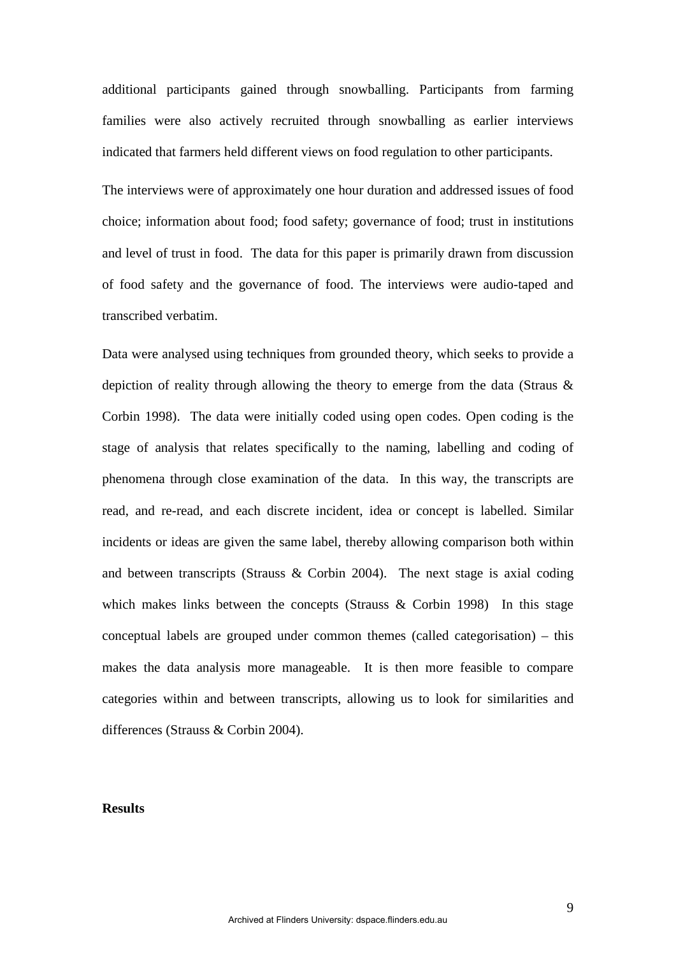additional participants gained through snowballing. Participants from farming families were also actively recruited through snowballing as earlier interviews indicated that farmers held different views on food regulation to other participants.

The interviews were of approximately one hour duration and addressed issues of food choice; information about food; food safety; governance of food; trust in institutions and level of trust in food. The data for this paper is primarily drawn from discussion of food safety and the governance of food. The interviews were audio-taped and transcribed verbatim.

Data were analysed using techniques from grounded theory, which seeks to provide a depiction of reality through allowing the theory to emerge from the data (Straus & Corbin 1998). The data were initially coded using open codes. Open coding is the stage of analysis that relates specifically to the naming, labelling and coding of phenomena through close examination of the data. In this way, the transcripts are read, and re-read, and each discrete incident, idea or concept is labelled. Similar incidents or ideas are given the same label, thereby allowing comparison both within and between transcripts (Strauss & Corbin 2004). The next stage is axial coding which makes links between the concepts (Strauss & Corbin 1998) In this stage conceptual labels are grouped under common themes (called categorisation) – this makes the data analysis more manageable. It is then more feasible to compare categories within and between transcripts, allowing us to look for similarities and differences (Strauss & Corbin 2004).

## **Results**

9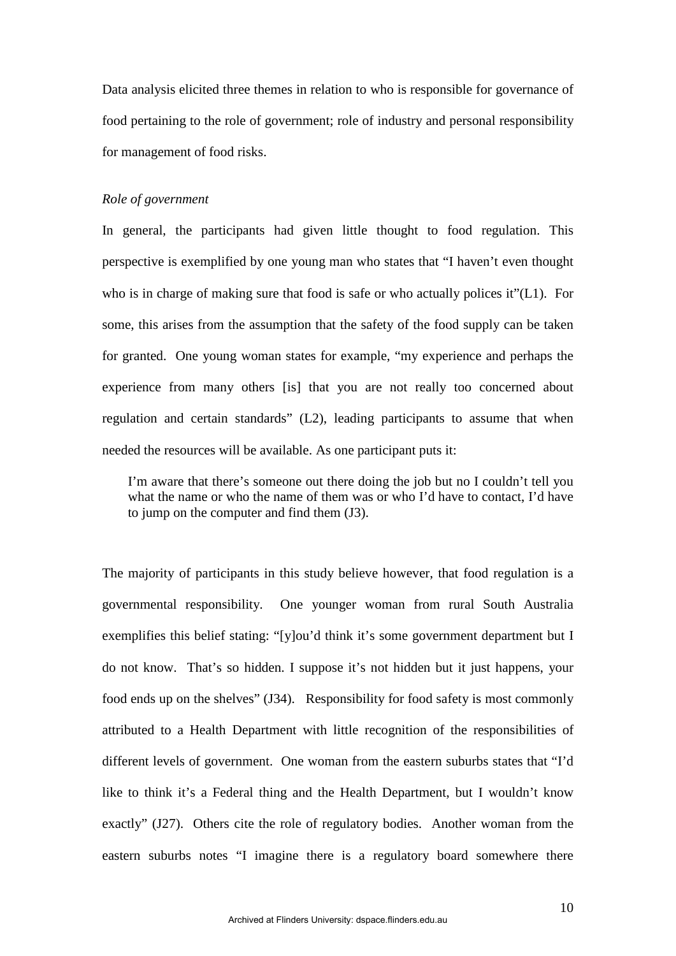Data analysis elicited three themes in relation to who is responsible for governance of food pertaining to the role of government; role of industry and personal responsibility for management of food risks.

### *Role of government*

In general, the participants had given little thought to food regulation. This perspective is exemplified by one young man who states that "I haven't even thought who is in charge of making sure that food is safe or who actually polices it"(L1). For some, this arises from the assumption that the safety of the food supply can be taken for granted. One young woman states for example, "my experience and perhaps the experience from many others [is] that you are not really too concerned about regulation and certain standards" (L2), leading participants to assume that when needed the resources will be available. As one participant puts it:

I'm aware that there's someone out there doing the job but no I couldn't tell you what the name or who the name of them was or who I'd have to contact, I'd have to jump on the computer and find them (J3).

The majority of participants in this study believe however, that food regulation is a governmental responsibility. One younger woman from rural South Australia exemplifies this belief stating: "[y]ou'd think it's some government department but I do not know. That's so hidden. I suppose it's not hidden but it just happens, your food ends up on the shelves" (J34). Responsibility for food safety is most commonly attributed to a Health Department with little recognition of the responsibilities of different levels of government. One woman from the eastern suburbs states that "I'd like to think it's a Federal thing and the Health Department, but I wouldn't know exactly" (J27). Others cite the role of regulatory bodies. Another woman from the eastern suburbs notes "I imagine there is a regulatory board somewhere there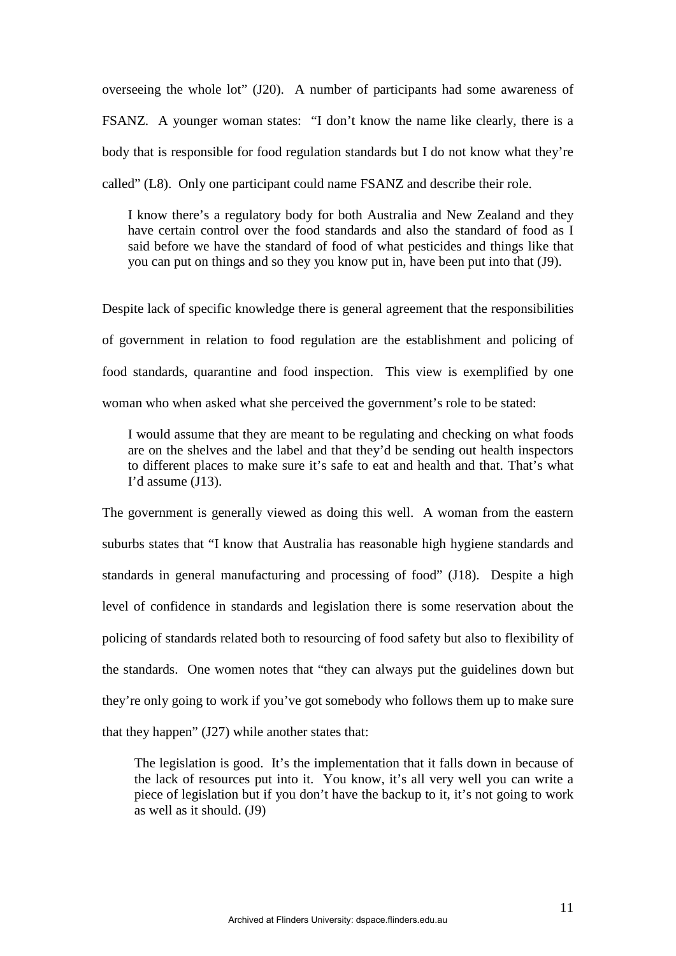overseeing the whole lot" (J20). A number of participants had some awareness of FSANZ. A younger woman states: "I don't know the name like clearly, there is a body that is responsible for food regulation standards but I do not know what they're called" (L8). Only one participant could name FSANZ and describe their role.

I know there's a regulatory body for both Australia and New Zealand and they have certain control over the food standards and also the standard of food as I said before we have the standard of food of what pesticides and things like that you can put on things and so they you know put in, have been put into that (J9).

Despite lack of specific knowledge there is general agreement that the responsibilities of government in relation to food regulation are the establishment and policing of food standards, quarantine and food inspection. This view is exemplified by one woman who when asked what she perceived the government's role to be stated:

I would assume that they are meant to be regulating and checking on what foods are on the shelves and the label and that they'd be sending out health inspectors to different places to make sure it's safe to eat and health and that. That's what I'd assume (J13).

The government is generally viewed as doing this well. A woman from the eastern suburbs states that "I know that Australia has reasonable high hygiene standards and standards in general manufacturing and processing of food" (J18). Despite a high level of confidence in standards and legislation there is some reservation about the policing of standards related both to resourcing of food safety but also to flexibility of the standards. One women notes that "they can always put the guidelines down but they're only going to work if you've got somebody who follows them up to make sure that they happen" (J27) while another states that:

The legislation is good. It's the implementation that it falls down in because of the lack of resources put into it. You know, it's all very well you can write a piece of legislation but if you don't have the backup to it, it's not going to work as well as it should. (J9)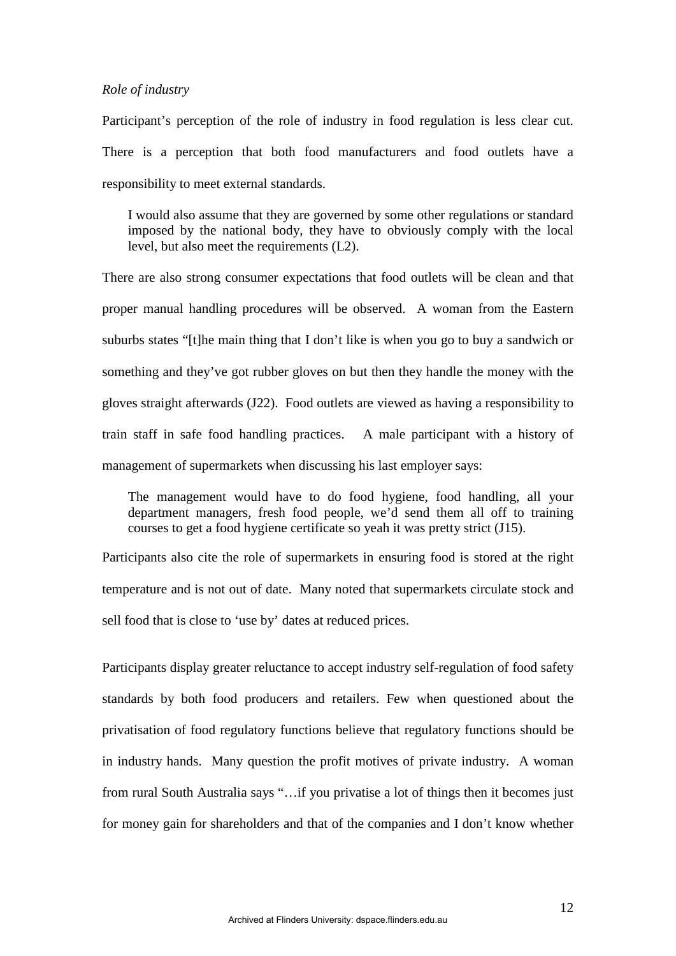#### *Role of industry*

Participant's perception of the role of industry in food regulation is less clear cut. There is a perception that both food manufacturers and food outlets have a responsibility to meet external standards.

I would also assume that they are governed by some other regulations or standard imposed by the national body, they have to obviously comply with the local level, but also meet the requirements (L2).

There are also strong consumer expectations that food outlets will be clean and that proper manual handling procedures will be observed. A woman from the Eastern suburbs states "[t]he main thing that I don't like is when you go to buy a sandwich or something and they've got rubber gloves on but then they handle the money with the gloves straight afterwards (J22). Food outlets are viewed as having a responsibility to train staff in safe food handling practices. A male participant with a history of management of supermarkets when discussing his last employer says:

The management would have to do food hygiene, food handling, all your department managers, fresh food people, we'd send them all off to training courses to get a food hygiene certificate so yeah it was pretty strict (J15).

Participants also cite the role of supermarkets in ensuring food is stored at the right temperature and is not out of date. Many noted that supermarkets circulate stock and sell food that is close to 'use by' dates at reduced prices.

Participants display greater reluctance to accept industry self-regulation of food safety standards by both food producers and retailers. Few when questioned about the privatisation of food regulatory functions believe that regulatory functions should be in industry hands. Many question the profit motives of private industry. A woman from rural South Australia says "…if you privatise a lot of things then it becomes just for money gain for shareholders and that of the companies and I don't know whether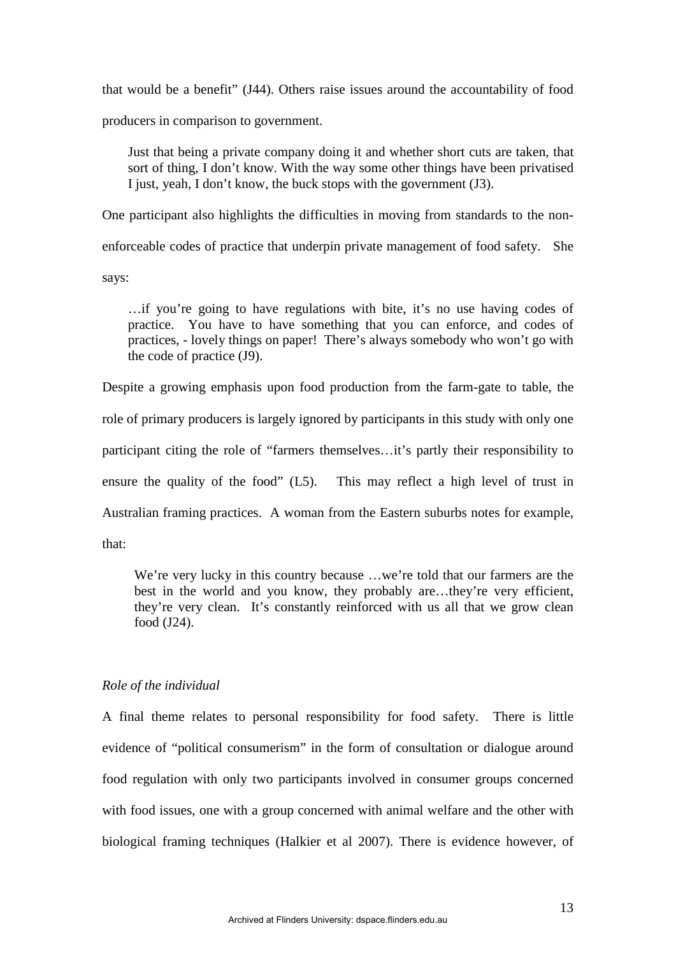that would be a benefit" (J44). Others raise issues around the accountability of food

producers in comparison to government.

Just that being a private company doing it and whether short cuts are taken, that sort of thing, I don't know. With the way some other things have been privatised I just, yeah, I don't know, the buck stops with the government (J3).

One participant also highlights the difficulties in moving from standards to the non-

enforceable codes of practice that underpin private management of food safety. She

says:

…if you're going to have regulations with bite, it's no use having codes of practice. You have to have something that you can enforce, and codes of practices, - lovely things on paper! There's always somebody who won't go with the code of practice (J9).

Despite a growing emphasis upon food production from the farm-gate to table, the role of primary producers is largely ignored by participants in this study with only one participant citing the role of "farmers themselves…it's partly their responsibility to ensure the quality of the food" (L5). This may reflect a high level of trust in Australian framing practices. A woman from the Eastern suburbs notes for example, that:

We're very lucky in this country because ...we're told that our farmers are the best in the world and you know, they probably are…they're very efficient, they're very clean. It's constantly reinforced with us all that we grow clean food (J24).

# *Role of the individual*

A final theme relates to personal responsibility for food safety. There is little evidence of "political consumerism" in the form of consultation or dialogue around food regulation with only two participants involved in consumer groups concerned with food issues, one with a group concerned with animal welfare and the other with biological framing techniques (Halkier et al 2007). There is evidence however, of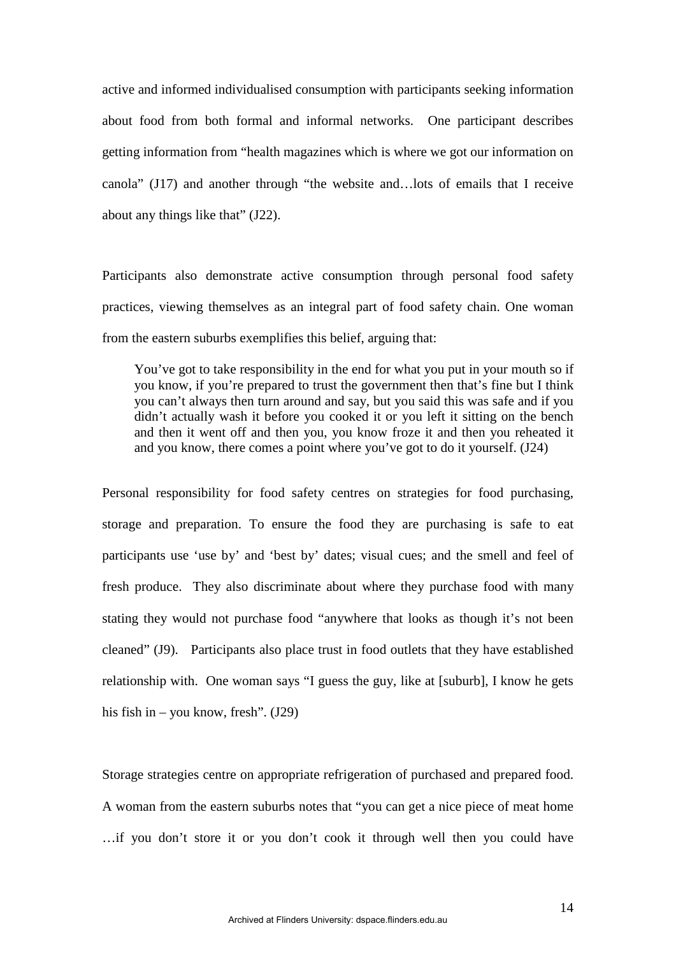active and informed individualised consumption with participants seeking information about food from both formal and informal networks. One participant describes getting information from "health magazines which is where we got our information on canola" (J17) and another through "the website and…lots of emails that I receive about any things like that" (J22).

Participants also demonstrate active consumption through personal food safety practices, viewing themselves as an integral part of food safety chain. One woman from the eastern suburbs exemplifies this belief, arguing that:

You've got to take responsibility in the end for what you put in your mouth so if you know, if you're prepared to trust the government then that's fine but I think you can't always then turn around and say, but you said this was safe and if you didn't actually wash it before you cooked it or you left it sitting on the bench and then it went off and then you, you know froze it and then you reheated it and you know, there comes a point where you've got to do it yourself. (J24)

Personal responsibility for food safety centres on strategies for food purchasing, storage and preparation. To ensure the food they are purchasing is safe to eat participants use 'use by' and 'best by' dates; visual cues; and the smell and feel of fresh produce. They also discriminate about where they purchase food with many stating they would not purchase food "anywhere that looks as though it's not been cleaned" (J9). Participants also place trust in food outlets that they have established relationship with. One woman says "I guess the guy, like at [suburb], I know he gets his fish in – you know, fresh". (J29)

Storage strategies centre on appropriate refrigeration of purchased and prepared food. A woman from the eastern suburbs notes that "you can get a nice piece of meat home …if you don't store it or you don't cook it through well then you could have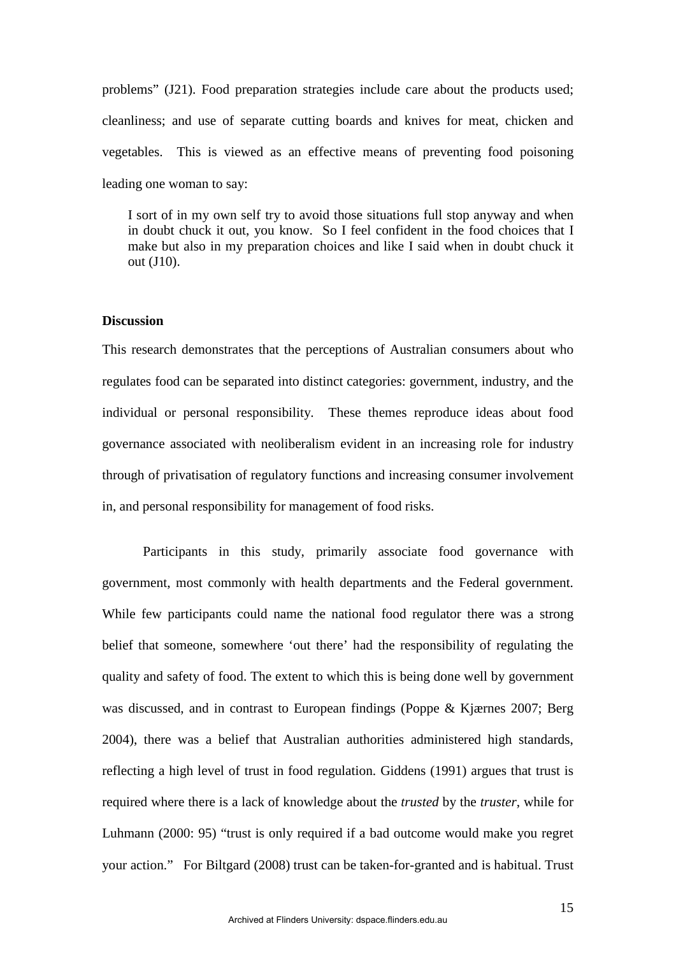problems" (J21). Food preparation strategies include care about the products used; cleanliness; and use of separate cutting boards and knives for meat, chicken and vegetables. This is viewed as an effective means of preventing food poisoning leading one woman to say:

I sort of in my own self try to avoid those situations full stop anyway and when in doubt chuck it out, you know. So I feel confident in the food choices that I make but also in my preparation choices and like I said when in doubt chuck it out (J10).

# **Discussion**

This research demonstrates that the perceptions of Australian consumers about who regulates food can be separated into distinct categories: government, industry, and the individual or personal responsibility. These themes reproduce ideas about food governance associated with neoliberalism evident in an increasing role for industry through of privatisation of regulatory functions and increasing consumer involvement in, and personal responsibility for management of food risks.

Participants in this study, primarily associate food governance with government, most commonly with health departments and the Federal government. While few participants could name the national food regulator there was a strong belief that someone, somewhere 'out there' had the responsibility of regulating the quality and safety of food. The extent to which this is being done well by government was discussed, and in contrast to European findings (Poppe & Kjærnes 2007; Berg 2004), there was a belief that Australian authorities administered high standards, reflecting a high level of trust in food regulation. Giddens (1991) argues that trust is required where there is a lack of knowledge about the *trusted* by the *truster*, while for Luhmann (2000: 95) "trust is only required if a bad outcome would make you regret your action." For Biltgard (2008) trust can be taken-for-granted and is habitual. Trust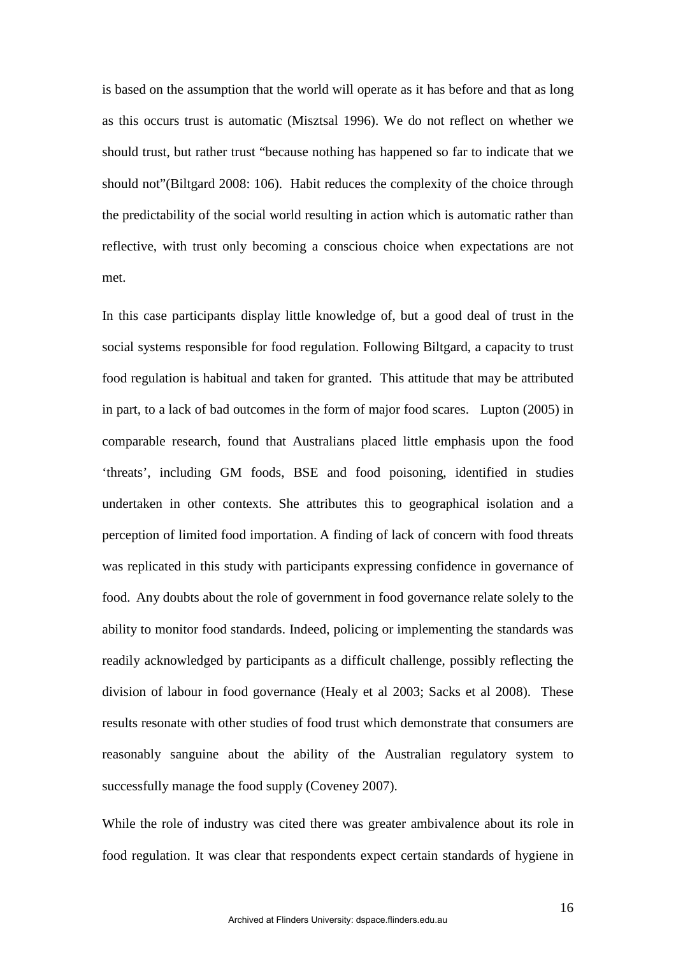is based on the assumption that the world will operate as it has before and that as long as this occurs trust is automatic (Misztsal 1996). We do not reflect on whether we should trust, but rather trust "because nothing has happened so far to indicate that we should not"(Biltgard 2008: 106). Habit reduces the complexity of the choice through the predictability of the social world resulting in action which is automatic rather than reflective, with trust only becoming a conscious choice when expectations are not met.

In this case participants display little knowledge of, but a good deal of trust in the social systems responsible for food regulation. Following Biltgard, a capacity to trust food regulation is habitual and taken for granted. This attitude that may be attributed in part, to a lack of bad outcomes in the form of major food scares. Lupton (2005) in comparable research, found that Australians placed little emphasis upon the food 'threats', including GM foods, BSE and food poisoning, identified in studies undertaken in other contexts. She attributes this to geographical isolation and a perception of limited food importation. A finding of lack of concern with food threats was replicated in this study with participants expressing confidence in governance of food. Any doubts about the role of government in food governance relate solely to the ability to monitor food standards. Indeed, policing or implementing the standards was readily acknowledged by participants as a difficult challenge, possibly reflecting the division of labour in food governance (Healy et al 2003; Sacks et al 2008). These results resonate with other studies of food trust which demonstrate that consumers are reasonably sanguine about the ability of the Australian regulatory system to successfully manage the food supply (Coveney 2007).

While the role of industry was cited there was greater ambivalence about its role in food regulation. It was clear that respondents expect certain standards of hygiene in

16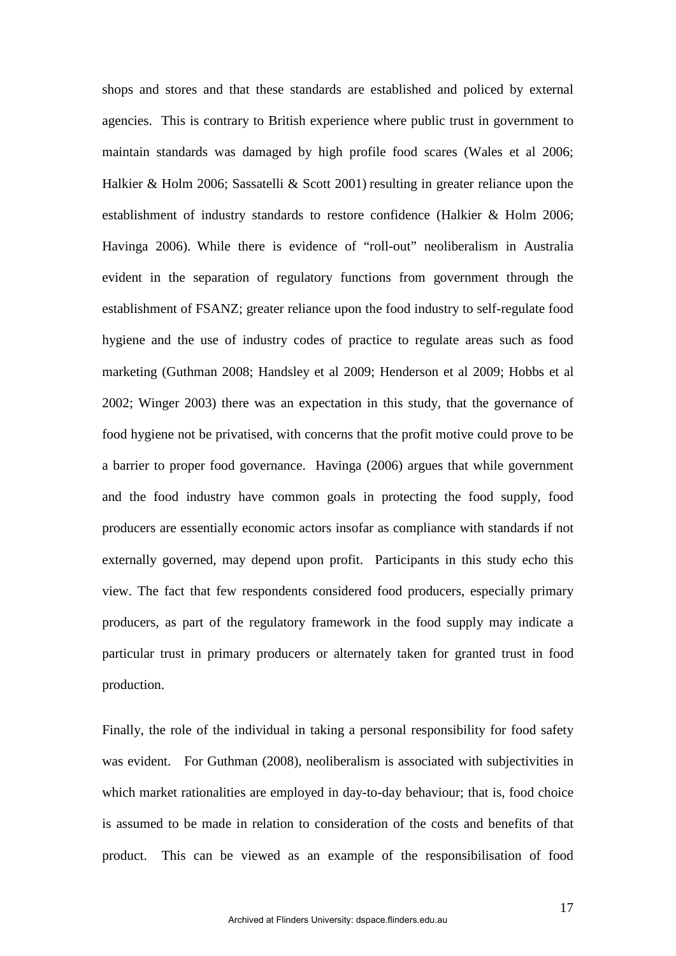shops and stores and that these standards are established and policed by external agencies. This is contrary to British experience where public trust in government to maintain standards was damaged by high profile food scares (Wales et al 2006; Halkier & Holm 2006; Sassatelli & Scott 2001) resulting in greater reliance upon the establishment of industry standards to restore confidence (Halkier & Holm 2006; Havinga 2006). While there is evidence of "roll-out" neoliberalism in Australia evident in the separation of regulatory functions from government through the establishment of FSANZ; greater reliance upon the food industry to self-regulate food hygiene and the use of industry codes of practice to regulate areas such as food marketing (Guthman 2008; Handsley et al 2009; Henderson et al 2009; Hobbs et al 2002; Winger 2003) there was an expectation in this study, that the governance of food hygiene not be privatised, with concerns that the profit motive could prove to be a barrier to proper food governance. Havinga (2006) argues that while government and the food industry have common goals in protecting the food supply, food producers are essentially economic actors insofar as compliance with standards if not externally governed, may depend upon profit. Participants in this study echo this view. The fact that few respondents considered food producers, especially primary producers, as part of the regulatory framework in the food supply may indicate a particular trust in primary producers or alternately taken for granted trust in food production.

Finally, the role of the individual in taking a personal responsibility for food safety was evident. For Guthman (2008), neoliberalism is associated with subjectivities in which market rationalities are employed in day-to-day behaviour; that is, food choice is assumed to be made in relation to consideration of the costs and benefits of that product. This can be viewed as an example of the responsibilisation of food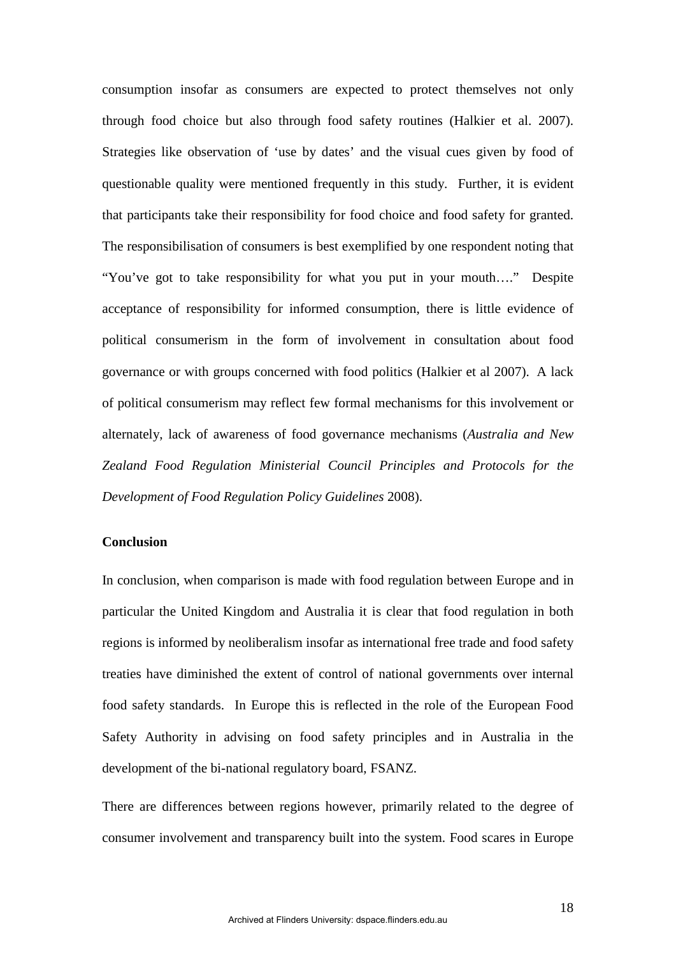consumption insofar as consumers are expected to protect themselves not only through food choice but also through food safety routines (Halkier et al. 2007). Strategies like observation of 'use by dates' and the visual cues given by food of questionable quality were mentioned frequently in this study. Further, it is evident that participants take their responsibility for food choice and food safety for granted. The responsibilisation of consumers is best exemplified by one respondent noting that "You've got to take responsibility for what you put in your mouth…." Despite acceptance of responsibility for informed consumption, there is little evidence of political consumerism in the form of involvement in consultation about food governance or with groups concerned with food politics (Halkier et al 2007). A lack of political consumerism may reflect few formal mechanisms for this involvement or alternately, lack of awareness of food governance mechanisms (*Australia and New Zealand Food Regulation Ministerial Council Principles and Protocols for the Development of Food Regulation Policy Guidelines* 2008).

# **Conclusion**

In conclusion, when comparison is made with food regulation between Europe and in particular the United Kingdom and Australia it is clear that food regulation in both regions is informed by neoliberalism insofar as international free trade and food safety treaties have diminished the extent of control of national governments over internal food safety standards. In Europe this is reflected in the role of the European Food Safety Authority in advising on food safety principles and in Australia in the development of the bi-national regulatory board, FSANZ.

There are differences between regions however, primarily related to the degree of consumer involvement and transparency built into the system. Food scares in Europe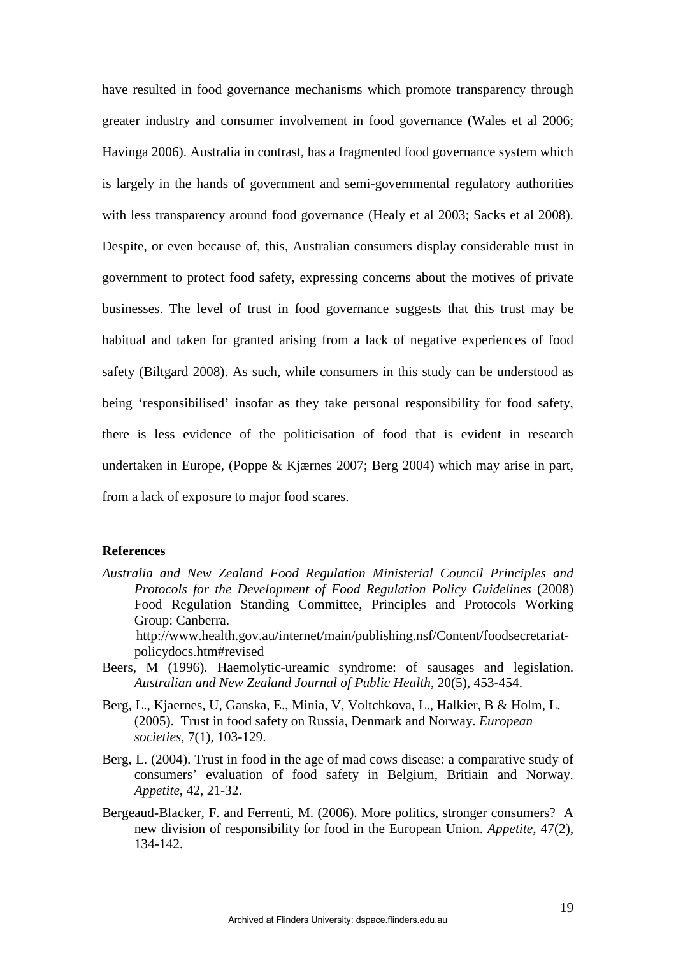have resulted in food governance mechanisms which promote transparency through greater industry and consumer involvement in food governance (Wales et al 2006; Havinga 2006). Australia in contrast, has a fragmented food governance system which is largely in the hands of government and semi-governmental regulatory authorities with less transparency around food governance (Healy et al 2003; Sacks et al 2008). Despite, or even because of, this, Australian consumers display considerable trust in government to protect food safety, expressing concerns about the motives of private businesses. The level of trust in food governance suggests that this trust may be habitual and taken for granted arising from a lack of negative experiences of food safety (Biltgard 2008). As such, while consumers in this study can be understood as being 'responsibilised' insofar as they take personal responsibility for food safety, there is less evidence of the politicisation of food that is evident in research undertaken in Europe, (Poppe & Kjærnes 2007; Berg 2004) which may arise in part, from a lack of exposure to major food scares.

## **References**

*Australia and New Zealand Food Regulation Ministerial Council Principles and Protocols for the Development of Food Regulation Policy Guidelines* (2008) Food Regulation Standing Committee, Principles and Protocols Working Group: Canberra. http://www.health.gov.au/internet/main/publishing.nsf/Content/foodsecretariat-

policydocs.htm#revised

- Beers, M (1996). Haemolytic-ureamic syndrome: of sausages and legislation. *Australian and New Zealand Journal of Public Health*, 20(5), 453-454.
- Berg, L., Kjaernes, U, Ganska, E., Minia, V, Voltchkova, L., Halkier, B & Holm, L. (2005). Trust in food safety on Russia, Denmark and Norway. *European societies*, 7(1), 103-129.
- Berg, L. (2004). Trust in food in the age of mad cows disease: a comparative study of consumers' evaluation of food safety in Belgium, Britiain and Norway. *Appetite*, 42, 21-32.
- Bergeaud-Blacker, F. and Ferrenti, M. (2006). More politics, stronger consumers? A new division of responsibility for food in the European Union. *Appetite*, 47(2), 134-142.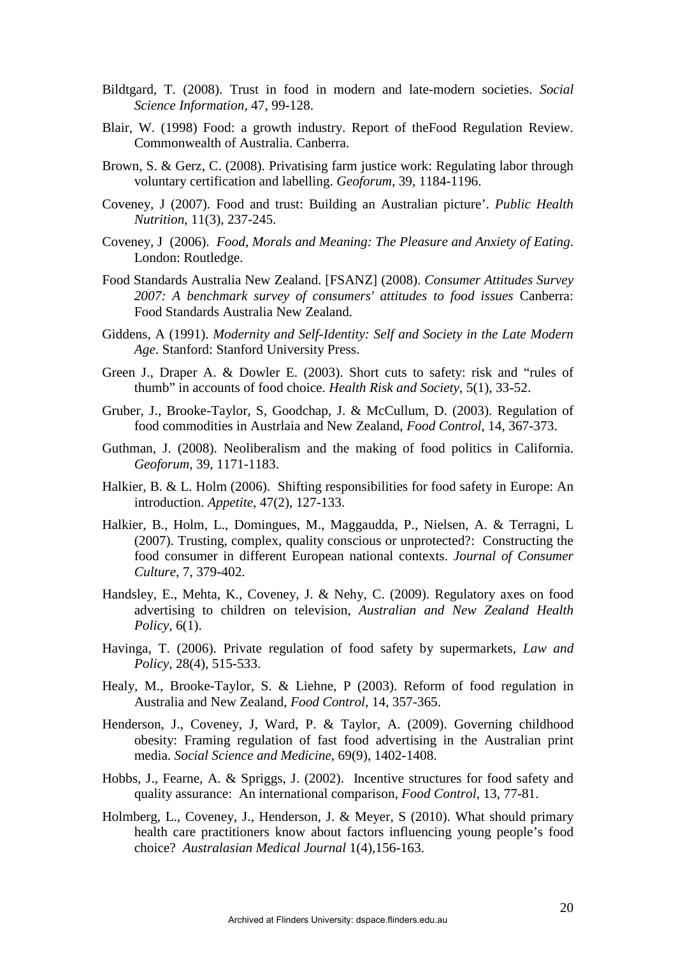- Bildtgard, T. (2008). Trust in food in modern and late-modern societies. *Social Science Information,* 47, 99-128.
- Blair, W. (1998) Food: a growth industry. Report of theFood Regulation Review. Commonwealth of Australia. Canberra.
- Brown, S. & Gerz, C. (2008). Privatising farm justice work: Regulating labor through voluntary certification and labelling. *Geoforum,* 39, 1184-1196.
- Coveney, J (2007). Food and trust: Building an Australian picture'. *Public Health Nutrition*, 11(3), 237-245.
- Coveney, J (2006). *Food, Morals and Meaning: The Pleasure and Anxiety of Eating*. London: Routledge.
- Food Standards Australia New Zealand. [FSANZ] (2008). *Consumer Attitudes Survey 2007: A benchmark survey of consumers' attitudes to food issues* Canberra: Food Standards Australia New Zealand.
- Giddens, A (1991). *Modernity and Self-Identity: Self and Society in the Late Modern Age*. Stanford: Stanford University Press.
- Green J., Draper A. & Dowler E. (2003). Short cuts to safety: risk and "rules of thumb" in accounts of food choice. *Health Risk and Society*, 5(1), 33-52.
- Gruber, J., Brooke-Taylor, S, Goodchap, J. & McCullum, D. (2003). Regulation of food commodities in Austrlaia and New Zealand, *Food Control,* 14, 367-373.
- Guthman, J. (2008). Neoliberalism and the making of food politics in California. *Geoforum,* 39, 1171-1183.
- Halkier, B. & L. Holm (2006). Shifting responsibilities for food safety in Europe: An introduction. *Appetite*, 47(2), 127-133.
- Halkier, B., Holm, L., Domingues, M., Maggaudda, P., Nielsen, A. & Terragni, L (2007). Trusting, complex, quality conscious or unprotected?: Constructing the food consumer in different European national contexts. *Journal of Consumer Culture*, 7, 379-402.
- Handsley, E., Mehta, K., Coveney, J. & Nehy, C. (2009). Regulatory axes on food advertising to children on television, *Australian and New Zealand Health Policy*, 6(1).
- Havinga, T. (2006). Private regulation of food safety by supermarkets, *Law and Policy*, 28(4), 515-533.
- Healy, M., Brooke-Taylor, S. & Liehne, P (2003). Reform of food regulation in Australia and New Zealand, *Food Control*, 14, 357-365.
- Henderson, J., Coveney, J, Ward, P. & Taylor, A. (2009). Governing childhood obesity: Framing regulation of fast food advertising in the Australian print media. *Social Science and Medicine*, 69(9), 1402-1408.
- Hobbs, J., Fearne, A. & Spriggs, J. (2002). Incentive structures for food safety and quality assurance: An international comparison, *Food Control,* 13, 77-81.
- Holmberg, L., Coveney, J., Henderson, J. & Meyer, S (2010). What should primary health care practitioners know about factors influencing young people's food choice? *Australasian Medical Journal* 1(4),156-163.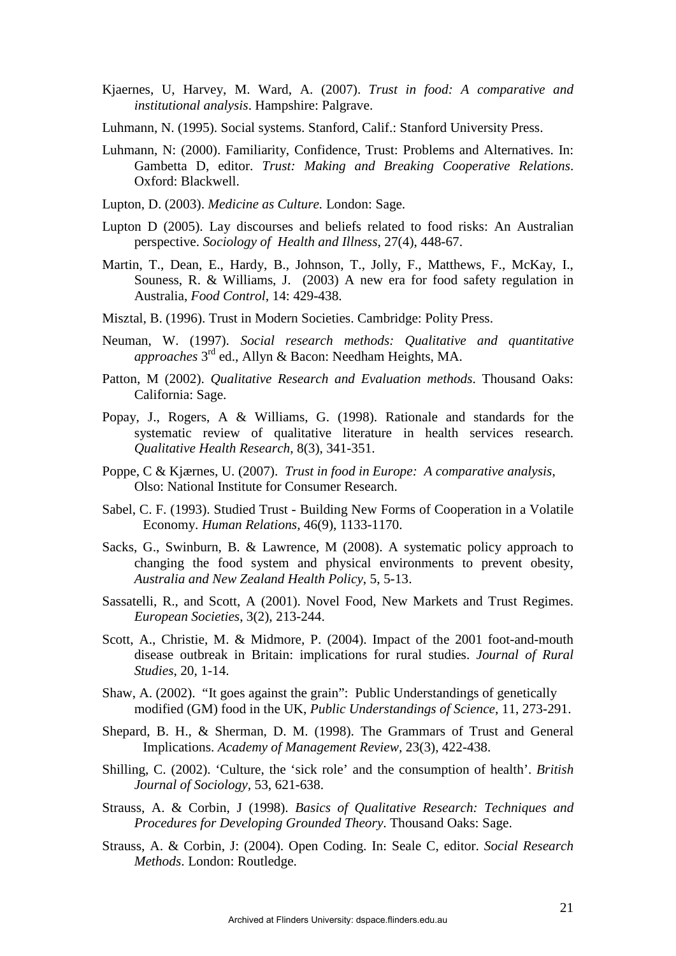- Kjaernes, U, Harvey, M. Ward, A. (2007). *Trust in food: A comparative and institutional analysis*. Hampshire: Palgrave.
- Luhmann, N. (1995). Social systems. Stanford, Calif.: Stanford University Press.
- Luhmann, N: (2000). Familiarity, Confidence, Trust: Problems and Alternatives. In: Gambetta D, editor. *Trust: Making and Breaking Cooperative Relations*. Oxford: Blackwell.
- Lupton, D. (2003). *Medicine as Culture.* London: Sage.
- Lupton D (2005). Lay discourses and beliefs related to food risks: An Australian perspective. *Sociology of Health and Illness*, 27(4), 448-67.
- Martin, T., Dean, E., Hardy, B., Johnson, T., Jolly, F., Matthews, F., McKay, I., Souness, R. & Williams, J. (2003) A new era for food safety regulation in Australia, *Food Control*, 14: 429-438.
- Misztal, B. (1996). Trust in Modern Societies. Cambridge: Polity Press.
- Neuman, W. (1997). *Social research methods: Qualitative and quantitative approaches* 3rd ed., Allyn & Bacon: Needham Heights, MA.
- Patton, M (2002). *Qualitative Research and Evaluation methods*. Thousand Oaks: California: Sage.
- Popay, J., Rogers, A & Williams, G. (1998). Rationale and standards for the systematic review of qualitative literature in health services research. *Qualitative Health Research*, 8(3), 341-351.
- Poppe, C & Kjærnes, U. (2007). *Trust in food in Europe: A comparative analysis*, Olso: National Institute for Consumer Research.
- Sabel, C. F. (1993). Studied Trust Building New Forms of Cooperation in a Volatile Economy. *Human Relations,* 46(9), 1133-1170.
- Sacks, G., Swinburn, B. & Lawrence, M (2008). A systematic policy approach to changing the food system and physical environments to prevent obesity, *Australia and New Zealand Health Policy*, 5, 5-13.
- Sassatelli, R., and Scott, A (2001). Novel Food, New Markets and Trust Regimes. *European Societies*, 3(2), 213-244.
- Scott, A., Christie, M. & Midmore, P. (2004). Impact of the 2001 foot-and-mouth disease outbreak in Britain: implications for rural studies. *Journal of Rural Studies*, 20, 1-14.
- Shaw, A. (2002). "It goes against the grain": Public Understandings of genetically modified (GM) food in the UK, *Public Understandings of Science*, 11, 273-291.
- Shepard, B. H., & Sherman, D. M. (1998). The Grammars of Trust and General Implications. *Academy of Management Review,* 23(3), 422-438.
- Shilling, C. (2002). 'Culture, the 'sick role' and the consumption of health'. *British Journal of Sociology,* 53, 621-638.
- Strauss, A. & Corbin, J (1998). *Basics of Qualitative Research: Techniques and Procedures for Developing Grounded Theory*. Thousand Oaks: Sage.
- Strauss, A. & Corbin, J: (2004). Open Coding. In: Seale C, editor. *Social Research Methods*. London: Routledge.